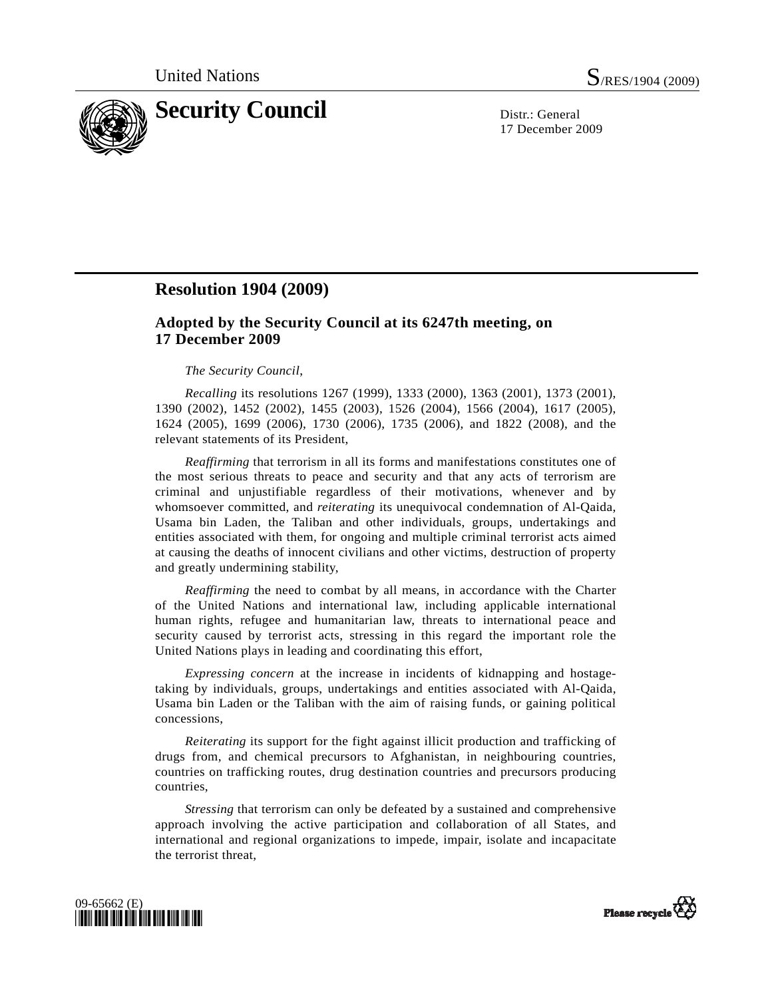

17 December 2009

# **Resolution 1904 (2009)**

# **Adopted by the Security Council at its 6247th meeting, on 17 December 2009**

# *The Security Council*,

*Recalling* its resolutions 1267 (1999), 1333 (2000), 1363 (2001), 1373 (2001), 1390 (2002), 1452 (2002), 1455 (2003), 1526 (2004), 1566 (2004), 1617 (2005), 1624 (2005), 1699 (2006), 1730 (2006), 1735 (2006), and 1822 (2008), and the relevant statements of its President,

*Reaffirming* that terrorism in all its forms and manifestations constitutes one of the most serious threats to peace and security and that any acts of terrorism are criminal and unjustifiable regardless of their motivations, whenever and by whomsoever committed, and *reiterating* its unequivocal condemnation of Al-Qaida, Usama bin Laden, the Taliban and other individuals, groups, undertakings and entities associated with them, for ongoing and multiple criminal terrorist acts aimed at causing the deaths of innocent civilians and other victims, destruction of property and greatly undermining stability,

*Reaffirming* the need to combat by all means, in accordance with the Charter of the United Nations and international law, including applicable international human rights, refugee and humanitarian law, threats to international peace and security caused by terrorist acts, stressing in this regard the important role the United Nations plays in leading and coordinating this effort,

*Expressing concern* at the increase in incidents of kidnapping and hostagetaking by individuals, groups, undertakings and entities associated with Al-Qaida, Usama bin Laden or the Taliban with the aim of raising funds, or gaining political concessions,

*Reiterating* its support for the fight against illicit production and trafficking of drugs from, and chemical precursors to Afghanistan, in neighbouring countries, countries on trafficking routes, drug destination countries and precursors producing countries,

*Stressing* that terrorism can only be defeated by a sustained and comprehensive approach involving the active participation and collaboration of all States, and international and regional organizations to impede, impair, isolate and incapacitate the terrorist threat,



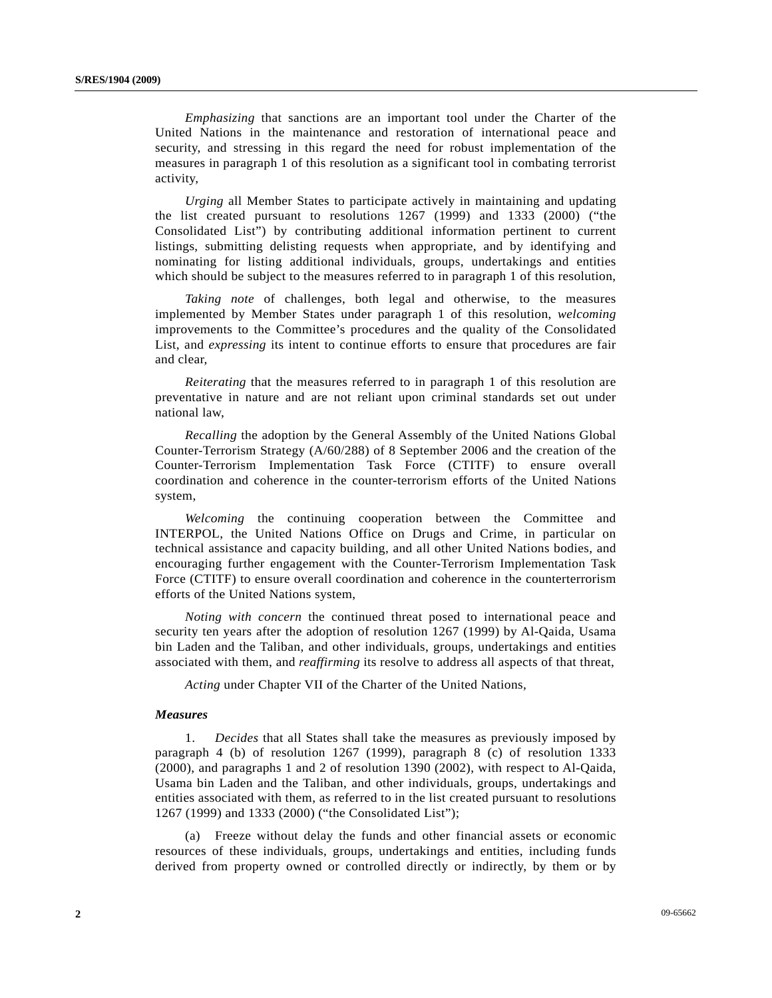*Emphasizing* that sanctions are an important tool under the Charter of the United Nations in the maintenance and restoration of international peace and security, and stressing in this regard the need for robust implementation of the measures in paragraph 1 of this resolution as a significant tool in combating terrorist activity,

*Urging* all Member States to participate actively in maintaining and updating the list created pursuant to resolutions 1267 (1999) and 1333 (2000) ("the Consolidated List") by contributing additional information pertinent to current listings, submitting delisting requests when appropriate, and by identifying and nominating for listing additional individuals, groups, undertakings and entities which should be subject to the measures referred to in paragraph 1 of this resolution,

*Taking note* of challenges, both legal and otherwise, to the measures implemented by Member States under paragraph 1 of this resolution, *welcoming* improvements to the Committee's procedures and the quality of the Consolidated List, and *expressing* its intent to continue efforts to ensure that procedures are fair and clear,

*Reiterating* that the measures referred to in paragraph 1 of this resolution are preventative in nature and are not reliant upon criminal standards set out under national law,

*Recalling* the adoption by the General Assembly of the United Nations Global Counter-Terrorism Strategy (A/60/288) of 8 September 2006 and the creation of the Counter-Terrorism Implementation Task Force (CTITF) to ensure overall coordination and coherence in the counter-terrorism efforts of the United Nations system,

*Welcoming* the continuing cooperation between the Committee and INTERPOL, the United Nations Office on Drugs and Crime, in particular on technical assistance and capacity building, and all other United Nations bodies, and encouraging further engagement with the Counter-Terrorism Implementation Task Force (CTITF) to ensure overall coordination and coherence in the counterterrorism efforts of the United Nations system,

*Noting with concern* the continued threat posed to international peace and security ten years after the adoption of resolution 1267 (1999) by Al-Qaida, Usama bin Laden and the Taliban, and other individuals, groups, undertakings and entities associated with them, and *reaffirming* its resolve to address all aspects of that threat,

*Acting* under Chapter VII of the Charter of the United Nations,

### *Measures*

 1. *Decides* that all States shall take the measures as previously imposed by paragraph 4 (b) of resolution 1267 (1999), paragraph 8 (c) of resolution 1333 (2000), and paragraphs 1 and 2 of resolution 1390 (2002), with respect to Al-Qaida, Usama bin Laden and the Taliban, and other individuals, groups, undertakings and entities associated with them, as referred to in the list created pursuant to resolutions 1267 (1999) and 1333 (2000) ("the Consolidated List");

 (a) Freeze without delay the funds and other financial assets or economic resources of these individuals, groups, undertakings and entities, including funds derived from property owned or controlled directly or indirectly, by them or by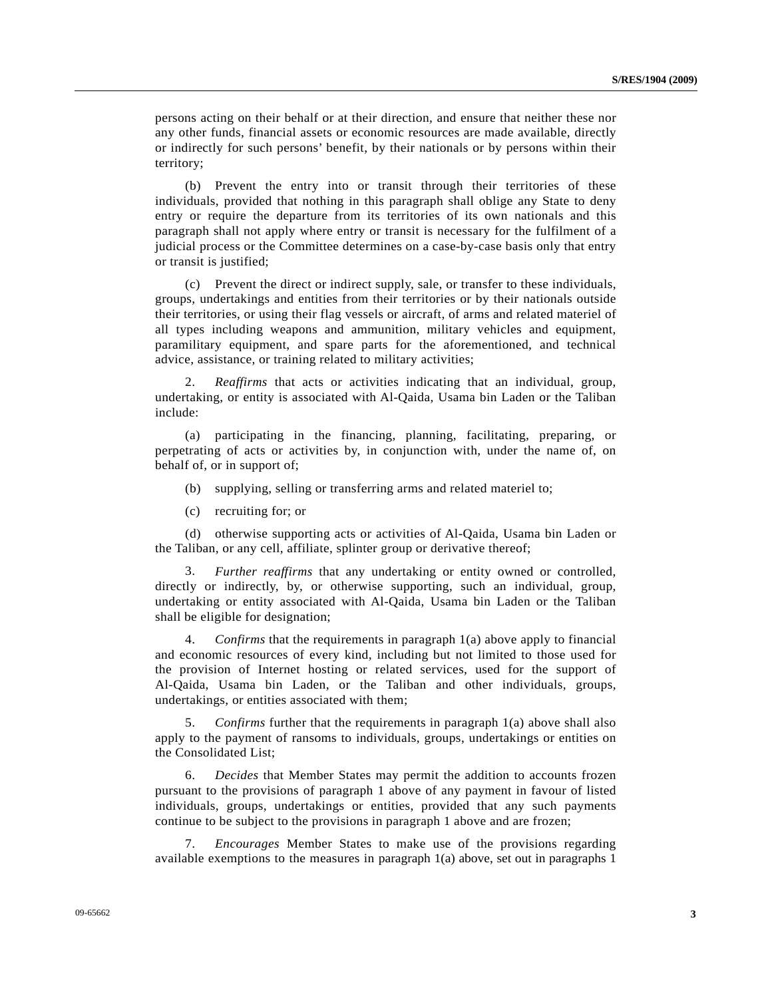persons acting on their behalf or at their direction, and ensure that neither these nor any other funds, financial assets or economic resources are made available, directly or indirectly for such persons' benefit, by their nationals or by persons within their territory;

 (b) Prevent the entry into or transit through their territories of these individuals, provided that nothing in this paragraph shall oblige any State to deny entry or require the departure from its territories of its own nationals and this paragraph shall not apply where entry or transit is necessary for the fulfilment of a judicial process or the Committee determines on a case-by-case basis only that entry or transit is justified;

 (c) Prevent the direct or indirect supply, sale, or transfer to these individuals, groups, undertakings and entities from their territories or by their nationals outside their territories, or using their flag vessels or aircraft, of arms and related materiel of all types including weapons and ammunition, military vehicles and equipment, paramilitary equipment, and spare parts for the aforementioned, and technical advice, assistance, or training related to military activities;

 2. *Reaffirms* that acts or activities indicating that an individual, group, undertaking, or entity is associated with Al-Qaida, Usama bin Laden or the Taliban include:

 (a) participating in the financing, planning, facilitating, preparing, or perpetrating of acts or activities by, in conjunction with, under the name of, on behalf of, or in support of;

(b) supplying, selling or transferring arms and related materiel to;

(c) recruiting for; or

 (d) otherwise supporting acts or activities of Al-Qaida, Usama bin Laden or the Taliban, or any cell, affiliate, splinter group or derivative thereof;

 3. *Further reaffirms* that any undertaking or entity owned or controlled, directly or indirectly, by, or otherwise supporting, such an individual, group, undertaking or entity associated with Al-Qaida, Usama bin Laden or the Taliban shall be eligible for designation;

 4. *Confirms* that the requirements in paragraph 1(a) above apply to financial and economic resources of every kind, including but not limited to those used for the provision of Internet hosting or related services, used for the support of Al-Qaida, Usama bin Laden, or the Taliban and other individuals, groups, undertakings, or entities associated with them;

 5. *Confirms* further that the requirements in paragraph 1(a) above shall also apply to the payment of ransoms to individuals, groups, undertakings or entities on the Consolidated List;

 6. *Decides* that Member States may permit the addition to accounts frozen pursuant to the provisions of paragraph 1 above of any payment in favour of listed individuals, groups, undertakings or entities, provided that any such payments continue to be subject to the provisions in paragraph 1 above and are frozen;

 7. *Encourages* Member States to make use of the provisions regarding available exemptions to the measures in paragraph 1(a) above, set out in paragraphs 1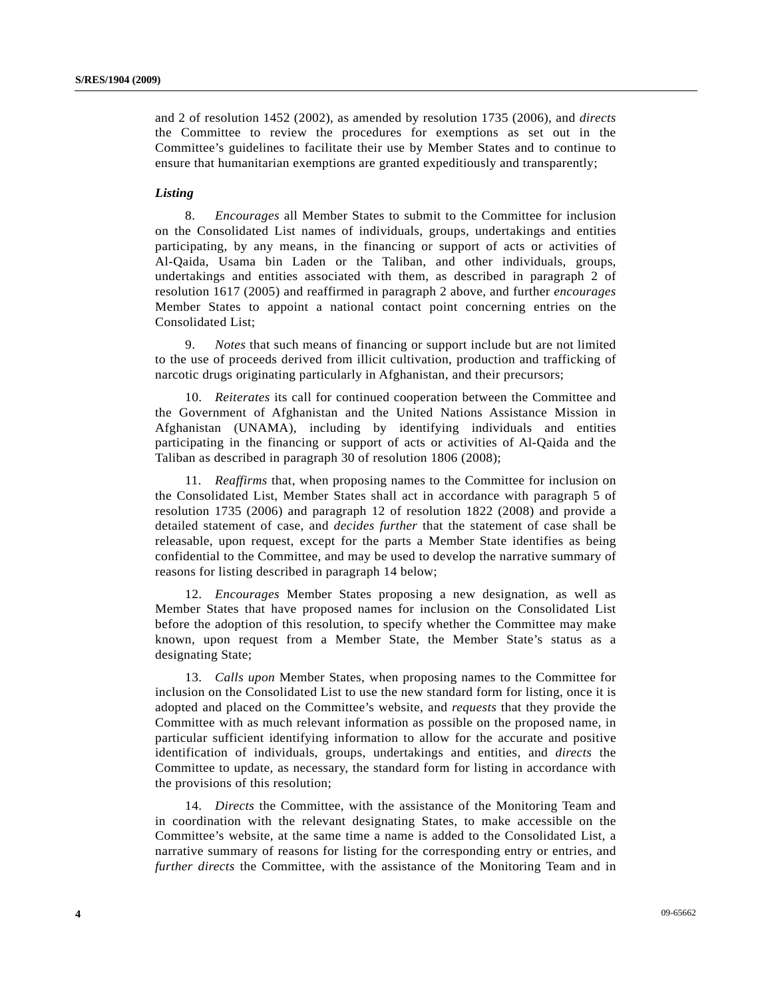and 2 of resolution 1452 (2002), as amended by resolution 1735 (2006), and *directs* the Committee to review the procedures for exemptions as set out in the Committee's guidelines to facilitate their use by Member States and to continue to ensure that humanitarian exemptions are granted expeditiously and transparently;

# *Listing*

 8. *Encourages* all Member States to submit to the Committee for inclusion on the Consolidated List names of individuals, groups, undertakings and entities participating, by any means, in the financing or support of acts or activities of Al-Qaida, Usama bin Laden or the Taliban, and other individuals, groups, undertakings and entities associated with them, as described in paragraph 2 of resolution 1617 (2005) and reaffirmed in paragraph 2 above, and further *encourages* Member States to appoint a national contact point concerning entries on the Consolidated List;

 9. *Notes* that such means of financing or support include but are not limited to the use of proceeds derived from illicit cultivation, production and trafficking of narcotic drugs originating particularly in Afghanistan, and their precursors;

 10. *Reiterates* its call for continued cooperation between the Committee and the Government of Afghanistan and the United Nations Assistance Mission in Afghanistan (UNAMA), including by identifying individuals and entities participating in the financing or support of acts or activities of Al-Qaida and the Taliban as described in paragraph 30 of resolution 1806 (2008);

 11. *Reaffirms* that, when proposing names to the Committee for inclusion on the Consolidated List, Member States shall act in accordance with paragraph 5 of resolution 1735 (2006) and paragraph 12 of resolution 1822 (2008) and provide a detailed statement of case, and *decides further* that the statement of case shall be releasable, upon request, except for the parts a Member State identifies as being confidential to the Committee, and may be used to develop the narrative summary of reasons for listing described in paragraph 14 below;

 12. *Encourages* Member States proposing a new designation, as well as Member States that have proposed names for inclusion on the Consolidated List before the adoption of this resolution, to specify whether the Committee may make known, upon request from a Member State, the Member State's status as a designating State;

 13. *Calls upon* Member States, when proposing names to the Committee for inclusion on the Consolidated List to use the new standard form for listing, once it is adopted and placed on the Committee's website, and *requests* that they provide the Committee with as much relevant information as possible on the proposed name, in particular sufficient identifying information to allow for the accurate and positive identification of individuals, groups, undertakings and entities, and *directs* the Committee to update, as necessary, the standard form for listing in accordance with the provisions of this resolution;

 14. *Directs* the Committee, with the assistance of the Monitoring Team and in coordination with the relevant designating States, to make accessible on the Committee's website, at the same time a name is added to the Consolidated List, a narrative summary of reasons for listing for the corresponding entry or entries, and *further directs* the Committee, with the assistance of the Monitoring Team and in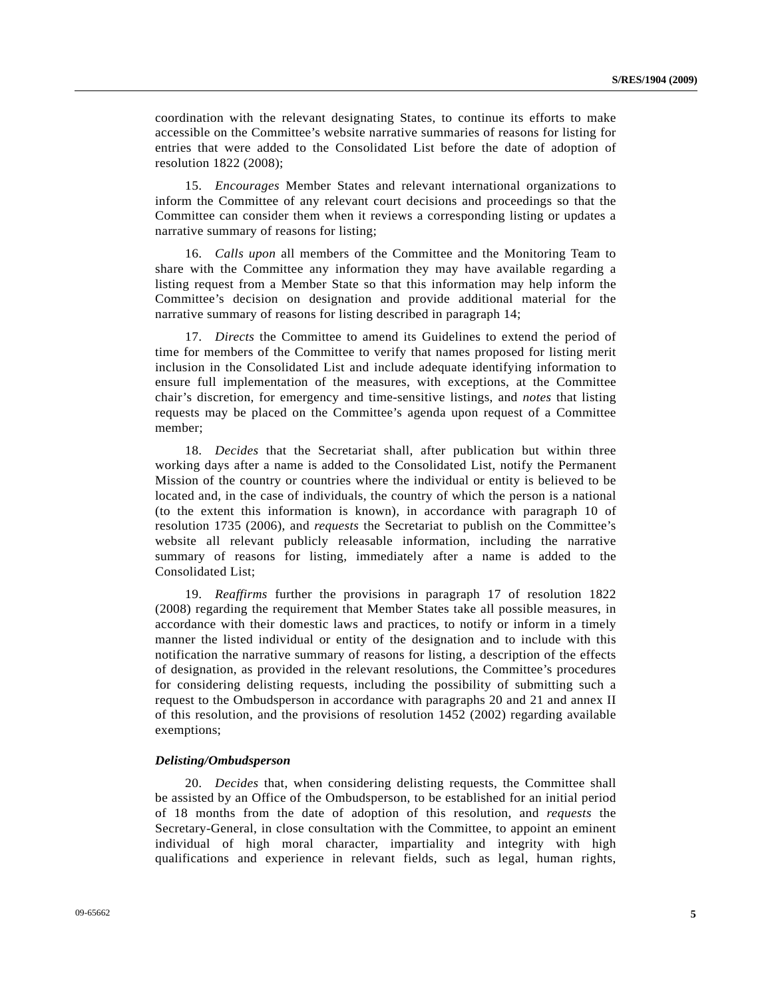coordination with the relevant designating States, to continue its efforts to make accessible on the Committee's website narrative summaries of reasons for listing for entries that were added to the Consolidated List before the date of adoption of resolution 1822 (2008);

 15. *Encourages* Member States and relevant international organizations to inform the Committee of any relevant court decisions and proceedings so that the Committee can consider them when it reviews a corresponding listing or updates a narrative summary of reasons for listing;

 16. *Calls upon* all members of the Committee and the Monitoring Team to share with the Committee any information they may have available regarding a listing request from a Member State so that this information may help inform the Committee's decision on designation and provide additional material for the narrative summary of reasons for listing described in paragraph 14;

 17. *Directs* the Committee to amend its Guidelines to extend the period of time for members of the Committee to verify that names proposed for listing merit inclusion in the Consolidated List and include adequate identifying information to ensure full implementation of the measures, with exceptions, at the Committee chair's discretion, for emergency and time-sensitive listings, and *notes* that listing requests may be placed on the Committee's agenda upon request of a Committee member;

 18. *Decides* that the Secretariat shall, after publication but within three working days after a name is added to the Consolidated List, notify the Permanent Mission of the country or countries where the individual or entity is believed to be located and, in the case of individuals, the country of which the person is a national (to the extent this information is known), in accordance with paragraph 10 of resolution 1735 (2006), and *requests* the Secretariat to publish on the Committee's website all relevant publicly releasable information, including the narrative summary of reasons for listing, immediately after a name is added to the Consolidated List;

 19. *Reaffirms* further the provisions in paragraph 17 of resolution 1822 (2008) regarding the requirement that Member States take all possible measures, in accordance with their domestic laws and practices, to notify or inform in a timely manner the listed individual or entity of the designation and to include with this notification the narrative summary of reasons for listing, a description of the effects of designation, as provided in the relevant resolutions, the Committee's procedures for considering delisting requests, including the possibility of submitting such a request to the Ombudsperson in accordance with paragraphs 20 and 21 and annex II of this resolution, and the provisions of resolution 1452 (2002) regarding available exemptions;

### *Delisting/Ombudsperson*

 20. *Decides* that, when considering delisting requests, the Committee shall be assisted by an Office of the Ombudsperson, to be established for an initial period of 18 months from the date of adoption of this resolution, and *requests* the Secretary-General, in close consultation with the Committee, to appoint an eminent individual of high moral character, impartiality and integrity with high qualifications and experience in relevant fields, such as legal, human rights,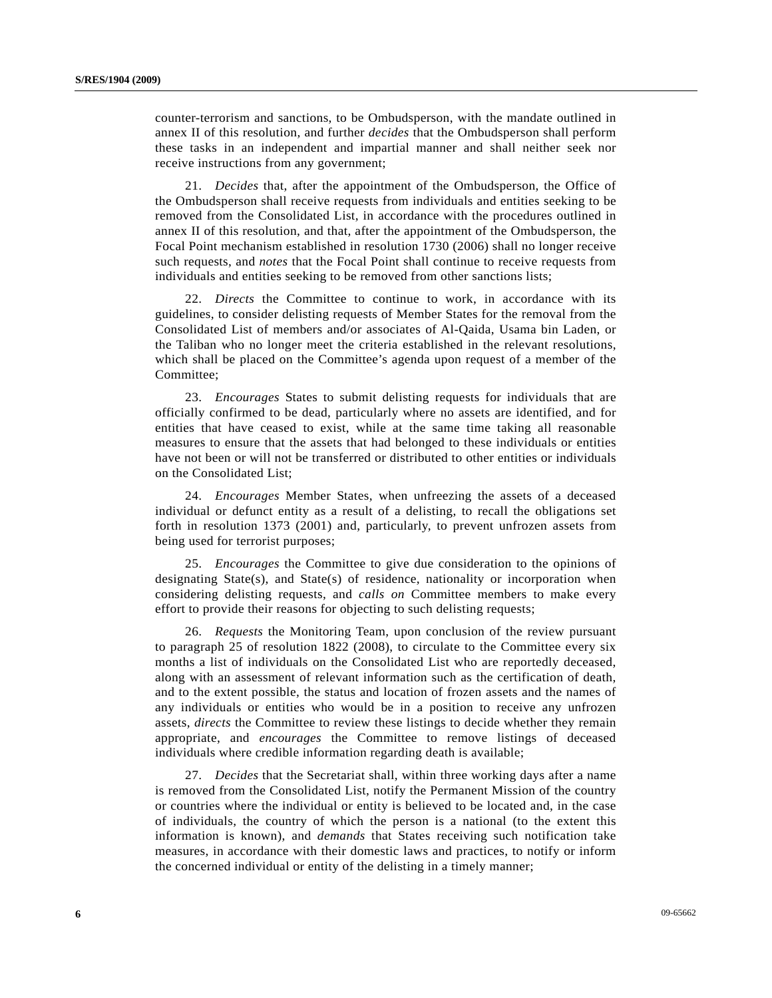counter-terrorism and sanctions, to be Ombudsperson, with the mandate outlined in annex II of this resolution, and further *decides* that the Ombudsperson shall perform these tasks in an independent and impartial manner and shall neither seek nor receive instructions from any government;

 21. *Decides* that, after the appointment of the Ombudsperson, the Office of the Ombudsperson shall receive requests from individuals and entities seeking to be removed from the Consolidated List, in accordance with the procedures outlined in annex II of this resolution, and that, after the appointment of the Ombudsperson, the Focal Point mechanism established in resolution 1730 (2006) shall no longer receive such requests, and *notes* that the Focal Point shall continue to receive requests from individuals and entities seeking to be removed from other sanctions lists;

 22. *Directs* the Committee to continue to work, in accordance with its guidelines, to consider delisting requests of Member States for the removal from the Consolidated List of members and/or associates of Al-Qaida, Usama bin Laden, or the Taliban who no longer meet the criteria established in the relevant resolutions, which shall be placed on the Committee's agenda upon request of a member of the Committee;

 23. *Encourages* States to submit delisting requests for individuals that are officially confirmed to be dead, particularly where no assets are identified, and for entities that have ceased to exist, while at the same time taking all reasonable measures to ensure that the assets that had belonged to these individuals or entities have not been or will not be transferred or distributed to other entities or individuals on the Consolidated List;

 24. *Encourages* Member States, when unfreezing the assets of a deceased individual or defunct entity as a result of a delisting, to recall the obligations set forth in resolution 1373 (2001) and, particularly, to prevent unfrozen assets from being used for terrorist purposes;

 25. *Encourages* the Committee to give due consideration to the opinions of designating State(s), and State(s) of residence, nationality or incorporation when considering delisting requests, and *calls on* Committee members to make every effort to provide their reasons for objecting to such delisting requests;

 26. *Requests* the Monitoring Team, upon conclusion of the review pursuant to paragraph 25 of resolution 1822 (2008), to circulate to the Committee every six months a list of individuals on the Consolidated List who are reportedly deceased, along with an assessment of relevant information such as the certification of death, and to the extent possible, the status and location of frozen assets and the names of any individuals or entities who would be in a position to receive any unfrozen assets, *directs* the Committee to review these listings to decide whether they remain appropriate, and *encourages* the Committee to remove listings of deceased individuals where credible information regarding death is available;

 27. *Decides* that the Secretariat shall, within three working days after a name is removed from the Consolidated List, notify the Permanent Mission of the country or countries where the individual or entity is believed to be located and, in the case of individuals, the country of which the person is a national (to the extent this information is known), and *demands* that States receiving such notification take measures, in accordance with their domestic laws and practices, to notify or inform the concerned individual or entity of the delisting in a timely manner;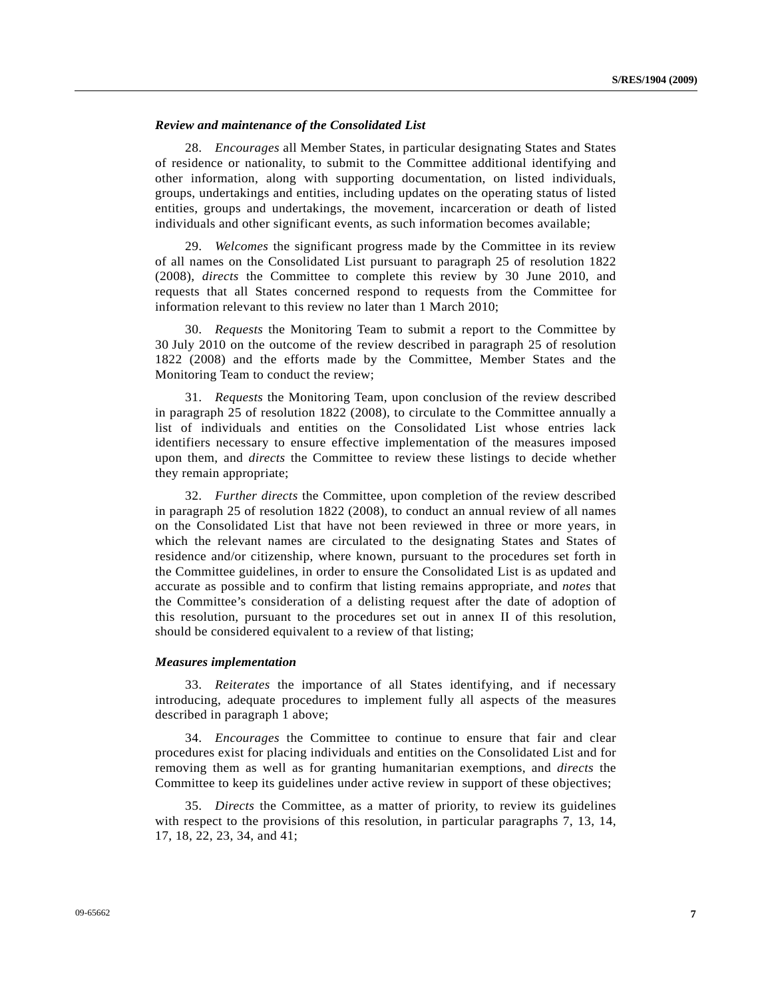#### *Review and maintenance of the Consolidated List*

 28. *Encourages* all Member States, in particular designating States and States of residence or nationality, to submit to the Committee additional identifying and other information, along with supporting documentation, on listed individuals, groups, undertakings and entities, including updates on the operating status of listed entities, groups and undertakings, the movement, incarceration or death of listed individuals and other significant events, as such information becomes available;

 29. *Welcomes* the significant progress made by the Committee in its review of all names on the Consolidated List pursuant to paragraph 25 of resolution 1822 (2008), *directs* the Committee to complete this review by 30 June 2010, and requests that all States concerned respond to requests from the Committee for information relevant to this review no later than 1 March 2010;

 30. *Requests* the Monitoring Team to submit a report to the Committee by 30 July 2010 on the outcome of the review described in paragraph 25 of resolution 1822 (2008) and the efforts made by the Committee, Member States and the Monitoring Team to conduct the review;

 31. *Requests* the Monitoring Team, upon conclusion of the review described in paragraph 25 of resolution 1822 (2008), to circulate to the Committee annually a list of individuals and entities on the Consolidated List whose entries lack identifiers necessary to ensure effective implementation of the measures imposed upon them, and *directs* the Committee to review these listings to decide whether they remain appropriate;

 32. *Further directs* the Committee, upon completion of the review described in paragraph 25 of resolution 1822 (2008), to conduct an annual review of all names on the Consolidated List that have not been reviewed in three or more years, in which the relevant names are circulated to the designating States and States of residence and/or citizenship, where known, pursuant to the procedures set forth in the Committee guidelines, in order to ensure the Consolidated List is as updated and accurate as possible and to confirm that listing remains appropriate, and *notes* that the Committee's consideration of a delisting request after the date of adoption of this resolution, pursuant to the procedures set out in annex II of this resolution, should be considered equivalent to a review of that listing;

#### *Measures implementation*

 33. *Reiterates* the importance of all States identifying, and if necessary introducing, adequate procedures to implement fully all aspects of the measures described in paragraph 1 above;

 34. *Encourages* the Committee to continue to ensure that fair and clear procedures exist for placing individuals and entities on the Consolidated List and for removing them as well as for granting humanitarian exemptions, and *directs* the Committee to keep its guidelines under active review in support of these objectives;

 35. *Directs* the Committee, as a matter of priority, to review its guidelines with respect to the provisions of this resolution, in particular paragraphs 7, 13, 14, 17, 18, 22, 23, 34, and 41;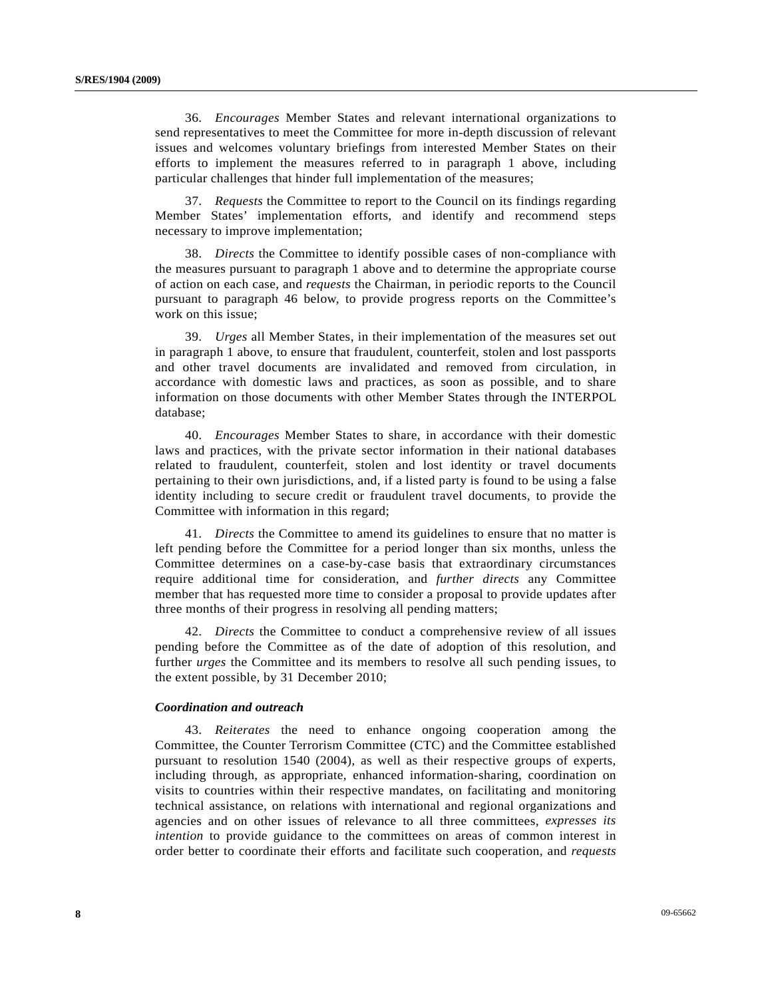36. *Encourages* Member States and relevant international organizations to send representatives to meet the Committee for more in-depth discussion of relevant issues and welcomes voluntary briefings from interested Member States on their efforts to implement the measures referred to in paragraph 1 above, including particular challenges that hinder full implementation of the measures;

 37. *Requests* the Committee to report to the Council on its findings regarding Member States' implementation efforts, and identify and recommend steps necessary to improve implementation;

 38. *Directs* the Committee to identify possible cases of non-compliance with the measures pursuant to paragraph 1 above and to determine the appropriate course of action on each case, and *requests* the Chairman, in periodic reports to the Council pursuant to paragraph 46 below, to provide progress reports on the Committee's work on this issue;

 39. *Urges* all Member States, in their implementation of the measures set out in paragraph 1 above, to ensure that fraudulent, counterfeit, stolen and lost passports and other travel documents are invalidated and removed from circulation, in accordance with domestic laws and practices, as soon as possible, and to share information on those documents with other Member States through the INTERPOL database;

 40. *Encourages* Member States to share, in accordance with their domestic laws and practices, with the private sector information in their national databases related to fraudulent, counterfeit, stolen and lost identity or travel documents pertaining to their own jurisdictions, and, if a listed party is found to be using a false identity including to secure credit or fraudulent travel documents, to provide the Committee with information in this regard;

 41. *Directs* the Committee to amend its guidelines to ensure that no matter is left pending before the Committee for a period longer than six months, unless the Committee determines on a case-by-case basis that extraordinary circumstances require additional time for consideration, and *further directs* any Committee member that has requested more time to consider a proposal to provide updates after three months of their progress in resolving all pending matters;

 42. *Directs* the Committee to conduct a comprehensive review of all issues pending before the Committee as of the date of adoption of this resolution, and further *urges* the Committee and its members to resolve all such pending issues, to the extent possible, by 31 December 2010;

# *Coordination and outreach*

 43. *Reiterates* the need to enhance ongoing cooperation among the Committee, the Counter Terrorism Committee (CTC) and the Committee established pursuant to resolution 1540 (2004), as well as their respective groups of experts, including through, as appropriate, enhanced information-sharing, coordination on visits to countries within their respective mandates, on facilitating and monitoring technical assistance, on relations with international and regional organizations and agencies and on other issues of relevance to all three committees, *expresses its intention* to provide guidance to the committees on areas of common interest in order better to coordinate their efforts and facilitate such cooperation, and *requests*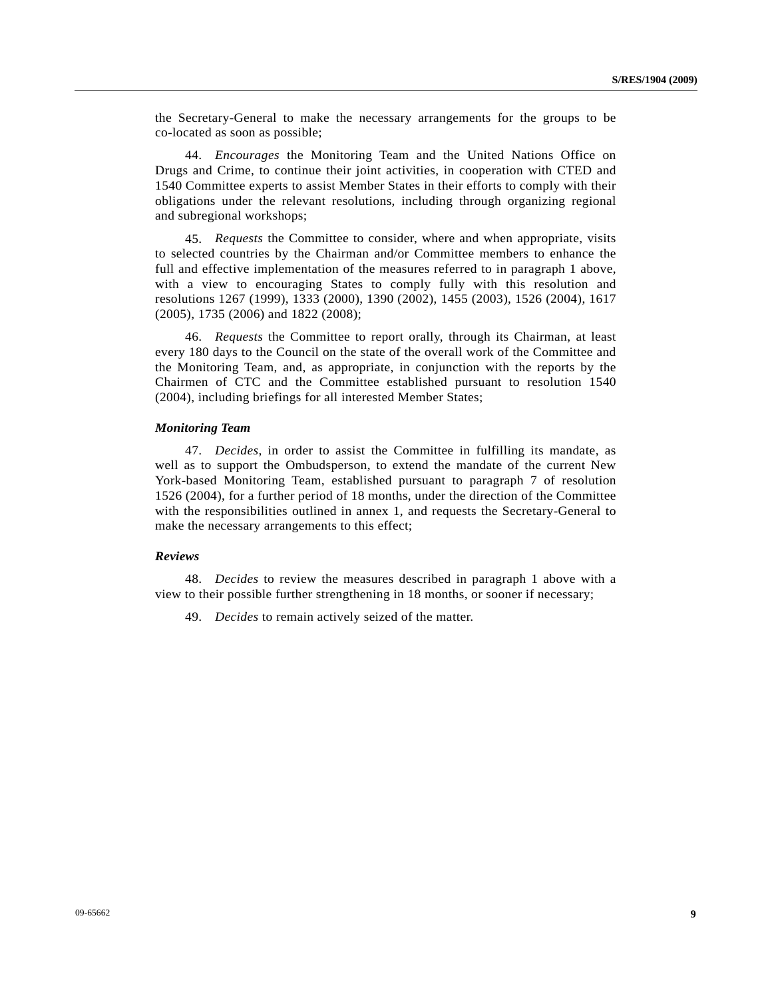the Secretary-General to make the necessary arrangements for the groups to be co-located as soon as possible;

 44. *Encourages* the Monitoring Team and the United Nations Office on Drugs and Crime, to continue their joint activities, in cooperation with CTED and 1540 Committee experts to assist Member States in their efforts to comply with their obligations under the relevant resolutions, including through organizing regional and subregional workshops;

 45. *Requests* the Committee to consider, where and when appropriate, visits to selected countries by the Chairman and/or Committee members to enhance the full and effective implementation of the measures referred to in paragraph 1 above, with a view to encouraging States to comply fully with this resolution and resolutions 1267 (1999), 1333 (2000), 1390 (2002), 1455 (2003), 1526 (2004), 1617 (2005), 1735 (2006) and 1822 (2008);

 46. *Requests* the Committee to report orally, through its Chairman, at least every 180 days to the Council on the state of the overall work of the Committee and the Monitoring Team, and, as appropriate, in conjunction with the reports by the Chairmen of CTC and the Committee established pursuant to resolution 1540 (2004), including briefings for all interested Member States;

# *Monitoring Team*

 47. *Decides*, in order to assist the Committee in fulfilling its mandate, as well as to support the Ombudsperson, to extend the mandate of the current New York-based Monitoring Team, established pursuant to paragraph 7 of resolution 1526 (2004), for a further period of 18 months, under the direction of the Committee with the responsibilities outlined in annex 1, and requests the Secretary-General to make the necessary arrangements to this effect;

### *Reviews*

 48. *Decides* to review the measures described in paragraph 1 above with a view to their possible further strengthening in 18 months, or sooner if necessary;

49. *Decides* to remain actively seized of the matter.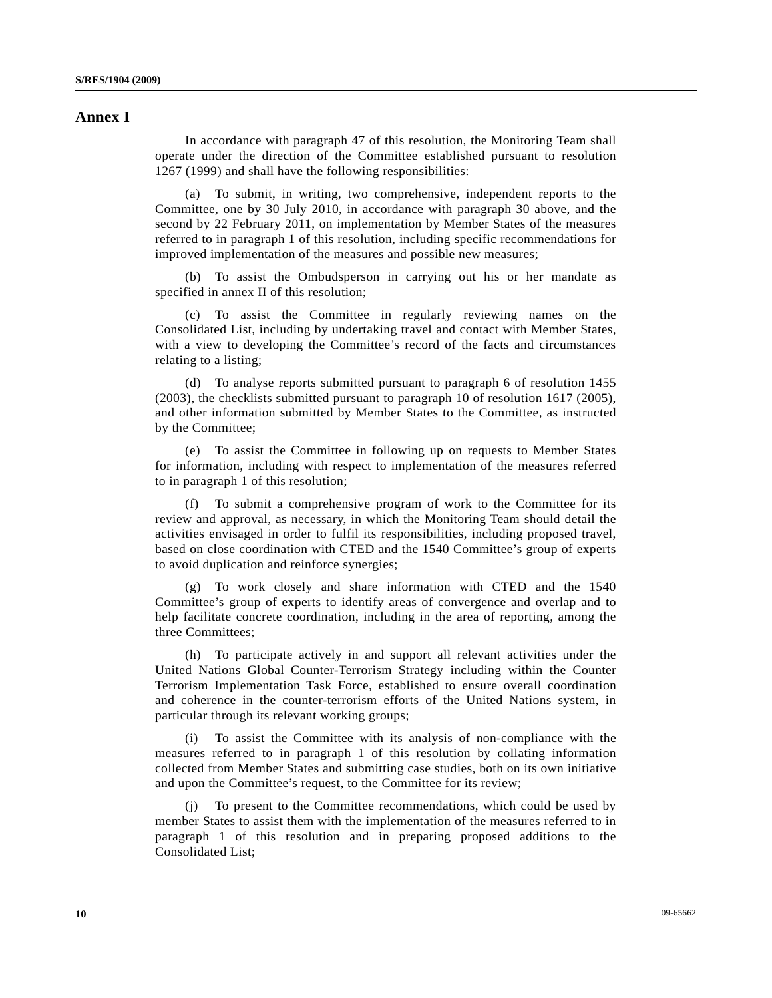# **Annex I**

 In accordance with paragraph 47 of this resolution, the Monitoring Team shall operate under the direction of the Committee established pursuant to resolution 1267 (1999) and shall have the following responsibilities:

 (a) To submit, in writing, two comprehensive, independent reports to the Committee, one by 30 July 2010, in accordance with paragraph 30 above, and the second by 22 February 2011, on implementation by Member States of the measures referred to in paragraph 1 of this resolution, including specific recommendations for improved implementation of the measures and possible new measures;

 (b) To assist the Ombudsperson in carrying out his or her mandate as specified in annex II of this resolution;

 (c) To assist the Committee in regularly reviewing names on the Consolidated List, including by undertaking travel and contact with Member States, with a view to developing the Committee's record of the facts and circumstances relating to a listing;

 (d) To analyse reports submitted pursuant to paragraph 6 of resolution 1455 (2003), the checklists submitted pursuant to paragraph 10 of resolution 1617 (2005), and other information submitted by Member States to the Committee, as instructed by the Committee;

 (e) To assist the Committee in following up on requests to Member States for information, including with respect to implementation of the measures referred to in paragraph 1 of this resolution;

 (f) To submit a comprehensive program of work to the Committee for its review and approval, as necessary, in which the Monitoring Team should detail the activities envisaged in order to fulfil its responsibilities, including proposed travel, based on close coordination with CTED and the 1540 Committee's group of experts to avoid duplication and reinforce synergies;

 (g) To work closely and share information with CTED and the 1540 Committee's group of experts to identify areas of convergence and overlap and to help facilitate concrete coordination, including in the area of reporting, among the three Committees;

 (h) To participate actively in and support all relevant activities under the United Nations Global Counter-Terrorism Strategy including within the Counter Terrorism Implementation Task Force, established to ensure overall coordination and coherence in the counter-terrorism efforts of the United Nations system, in particular through its relevant working groups;

 (i) To assist the Committee with its analysis of non-compliance with the measures referred to in paragraph 1 of this resolution by collating information collected from Member States and submitting case studies, both on its own initiative and upon the Committee's request, to the Committee for its review;

 (j) To present to the Committee recommendations, which could be used by member States to assist them with the implementation of the measures referred to in paragraph 1 of this resolution and in preparing proposed additions to the Consolidated List;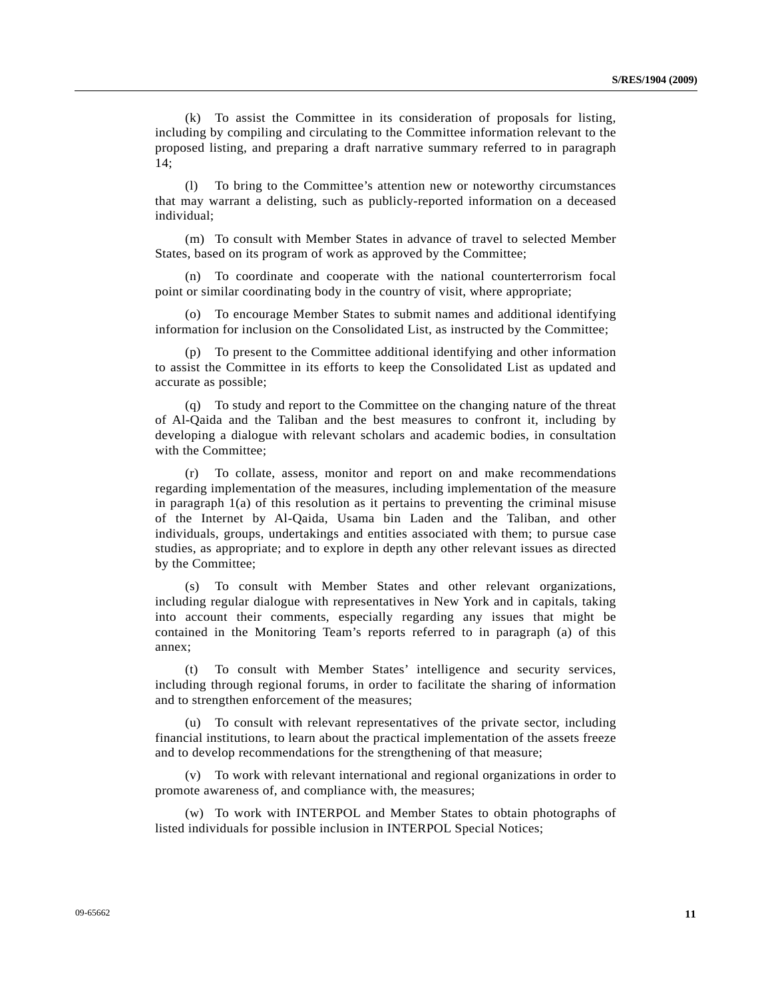(k) To assist the Committee in its consideration of proposals for listing, including by compiling and circulating to the Committee information relevant to the proposed listing, and preparing a draft narrative summary referred to in paragraph 14;

To bring to the Committee's attention new or noteworthy circumstances that may warrant a delisting, such as publicly-reported information on a deceased individual;

 (m) To consult with Member States in advance of travel to selected Member States, based on its program of work as approved by the Committee;

 (n) To coordinate and cooperate with the national counterterrorism focal point or similar coordinating body in the country of visit, where appropriate;

To encourage Member States to submit names and additional identifying information for inclusion on the Consolidated List, as instructed by the Committee;

 (p) To present to the Committee additional identifying and other information to assist the Committee in its efforts to keep the Consolidated List as updated and accurate as possible;

 (q) To study and report to the Committee on the changing nature of the threat of Al-Qaida and the Taliban and the best measures to confront it, including by developing a dialogue with relevant scholars and academic bodies, in consultation with the Committee;

 (r) To collate, assess, monitor and report on and make recommendations regarding implementation of the measures, including implementation of the measure in paragraph 1(a) of this resolution as it pertains to preventing the criminal misuse of the Internet by Al-Qaida, Usama bin Laden and the Taliban, and other individuals, groups, undertakings and entities associated with them; to pursue case studies, as appropriate; and to explore in depth any other relevant issues as directed by the Committee;

 (s) To consult with Member States and other relevant organizations, including regular dialogue with representatives in New York and in capitals, taking into account their comments, especially regarding any issues that might be contained in the Monitoring Team's reports referred to in paragraph (a) of this annex;

 (t) To consult with Member States' intelligence and security services, including through regional forums, in order to facilitate the sharing of information and to strengthen enforcement of the measures;

 (u) To consult with relevant representatives of the private sector, including financial institutions, to learn about the practical implementation of the assets freeze and to develop recommendations for the strengthening of that measure;

 (v) To work with relevant international and regional organizations in order to promote awareness of, and compliance with, the measures;

 (w) To work with INTERPOL and Member States to obtain photographs of listed individuals for possible inclusion in INTERPOL Special Notices;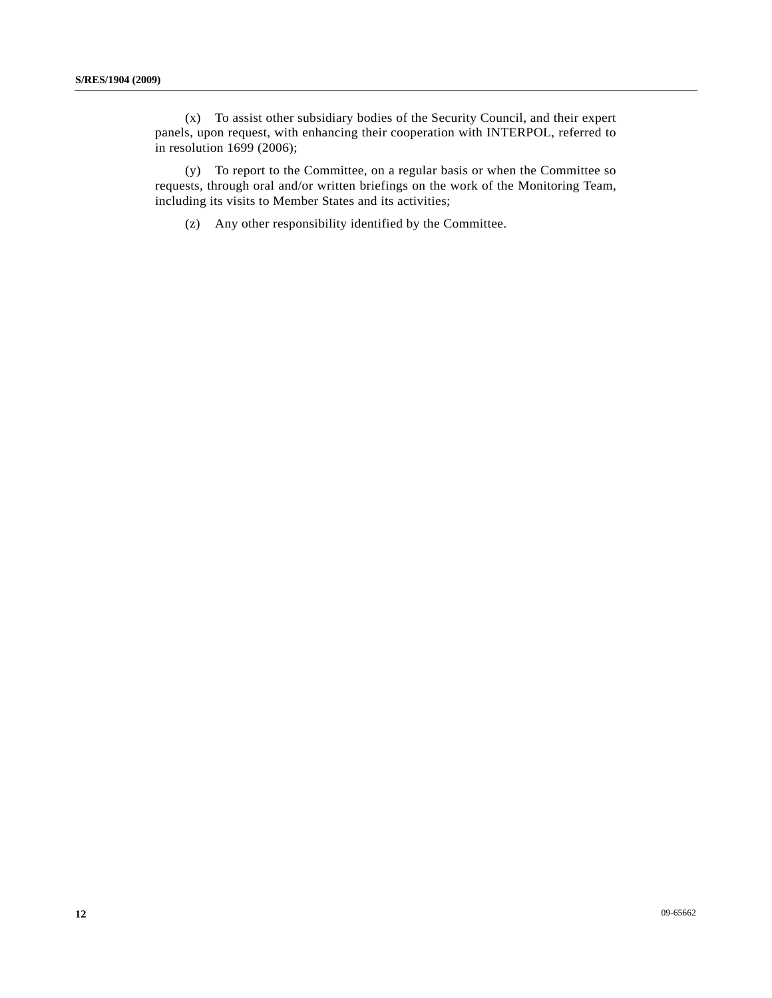(x) To assist other subsidiary bodies of the Security Council, and their expert panels, upon request, with enhancing their cooperation with INTERPOL, referred to in resolution 1699 (2006);

 (y) To report to the Committee, on a regular basis or when the Committee so requests, through oral and/or written briefings on the work of the Monitoring Team, including its visits to Member States and its activities;

(z) Any other responsibility identified by the Committee.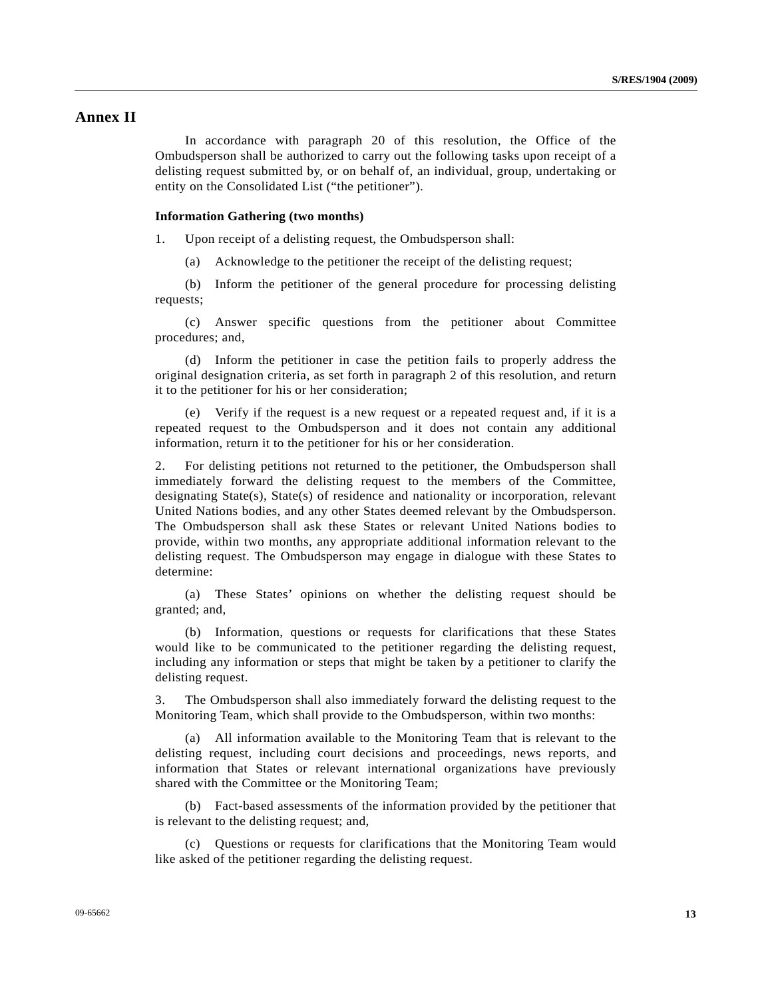# **Annex II**

 In accordance with paragraph 20 of this resolution, the Office of the Ombudsperson shall be authorized to carry out the following tasks upon receipt of a delisting request submitted by, or on behalf of, an individual, group, undertaking or entity on the Consolidated List ("the petitioner").

### **Information Gathering (two months)**

1. Upon receipt of a delisting request, the Ombudsperson shall:

(a) Acknowledge to the petitioner the receipt of the delisting request;

 (b) Inform the petitioner of the general procedure for processing delisting requests;

 (c) Answer specific questions from the petitioner about Committee procedures; and,

 (d) Inform the petitioner in case the petition fails to properly address the original designation criteria, as set forth in paragraph 2 of this resolution, and return it to the petitioner for his or her consideration;

 (e) Verify if the request is a new request or a repeated request and, if it is a repeated request to the Ombudsperson and it does not contain any additional information, return it to the petitioner for his or her consideration.

2. For delisting petitions not returned to the petitioner, the Ombudsperson shall immediately forward the delisting request to the members of the Committee, designating State(s), State(s) of residence and nationality or incorporation, relevant United Nations bodies, and any other States deemed relevant by the Ombudsperson. The Ombudsperson shall ask these States or relevant United Nations bodies to provide, within two months, any appropriate additional information relevant to the delisting request. The Ombudsperson may engage in dialogue with these States to determine:

 (a) These States' opinions on whether the delisting request should be granted; and,

 (b) Information, questions or requests for clarifications that these States would like to be communicated to the petitioner regarding the delisting request, including any information or steps that might be taken by a petitioner to clarify the delisting request.

3. The Ombudsperson shall also immediately forward the delisting request to the Monitoring Team, which shall provide to the Ombudsperson, within two months:

 (a) All information available to the Monitoring Team that is relevant to the delisting request, including court decisions and proceedings, news reports, and information that States or relevant international organizations have previously shared with the Committee or the Monitoring Team;

 (b) Fact-based assessments of the information provided by the petitioner that is relevant to the delisting request; and,

 (c) Questions or requests for clarifications that the Monitoring Team would like asked of the petitioner regarding the delisting request.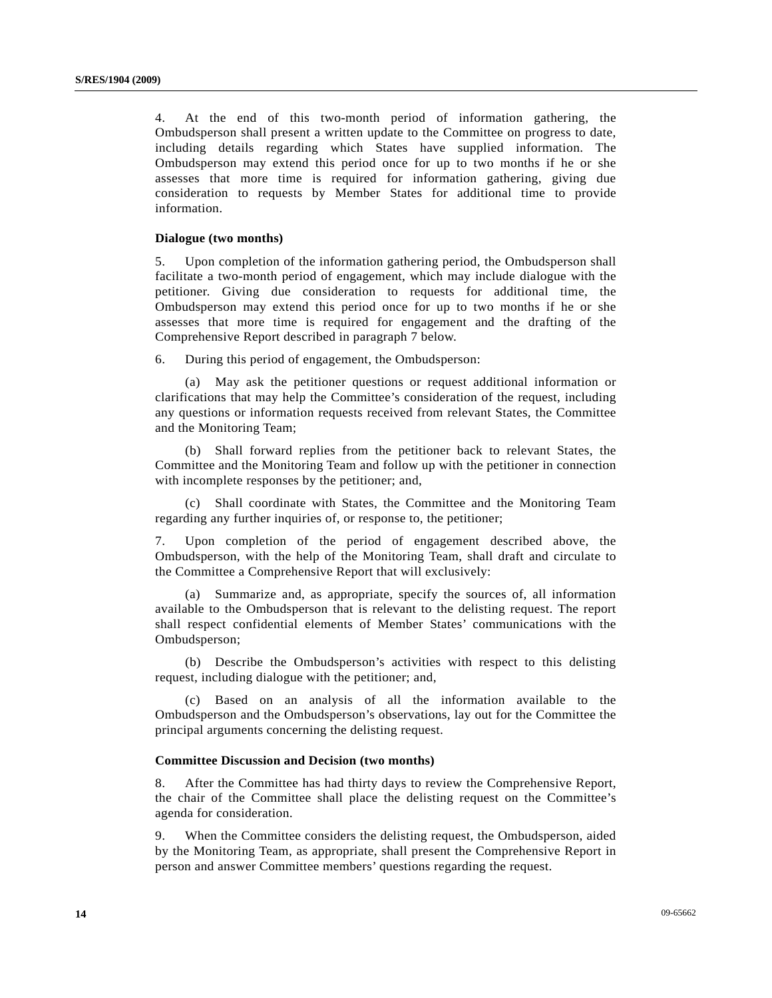4. At the end of this two-month period of information gathering, the Ombudsperson shall present a written update to the Committee on progress to date, including details regarding which States have supplied information. The Ombudsperson may extend this period once for up to two months if he or she assesses that more time is required for information gathering, giving due consideration to requests by Member States for additional time to provide information.

### **Dialogue (two months)**

5. Upon completion of the information gathering period, the Ombudsperson shall facilitate a two-month period of engagement, which may include dialogue with the petitioner. Giving due consideration to requests for additional time, the Ombudsperson may extend this period once for up to two months if he or she assesses that more time is required for engagement and the drafting of the Comprehensive Report described in paragraph 7 below.

6. During this period of engagement, the Ombudsperson:

 (a) May ask the petitioner questions or request additional information or clarifications that may help the Committee's consideration of the request, including any questions or information requests received from relevant States, the Committee and the Monitoring Team;

 (b) Shall forward replies from the petitioner back to relevant States, the Committee and the Monitoring Team and follow up with the petitioner in connection with incomplete responses by the petitioner; and,

 (c) Shall coordinate with States, the Committee and the Monitoring Team regarding any further inquiries of, or response to, the petitioner;

7. Upon completion of the period of engagement described above, the Ombudsperson, with the help of the Monitoring Team, shall draft and circulate to the Committee a Comprehensive Report that will exclusively:

 (a) Summarize and, as appropriate, specify the sources of, all information available to the Ombudsperson that is relevant to the delisting request. The report shall respect confidential elements of Member States' communications with the Ombudsperson;

 (b) Describe the Ombudsperson's activities with respect to this delisting request, including dialogue with the petitioner; and,

 (c) Based on an analysis of all the information available to the Ombudsperson and the Ombudsperson's observations, lay out for the Committee the principal arguments concerning the delisting request.

### **Committee Discussion and Decision (two months)**

8. After the Committee has had thirty days to review the Comprehensive Report, the chair of the Committee shall place the delisting request on the Committee's agenda for consideration.

9. When the Committee considers the delisting request, the Ombudsperson, aided by the Monitoring Team, as appropriate, shall present the Comprehensive Report in person and answer Committee members' questions regarding the request.